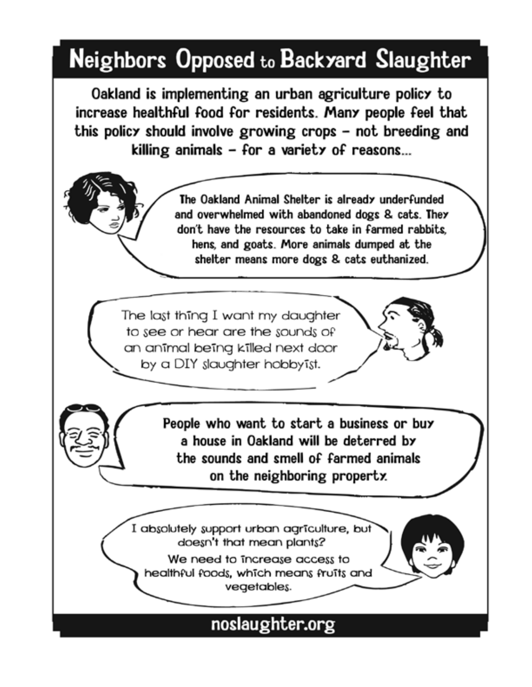## Neighbors Opposed to Backyard Slaughter

Oakland is implementing an urban agriculture policy to increase healthful food for residents. Many people feel that this policy should involve growing crops – not breeding and killing animals  $-$  for a variety of reasons...

> The Oakland Animal Shelter is already underfunded and overwhelmed with abandoned dogs & cats. They don't have the resources to take in farmed rabbits. hens, and goats. More animals dumped at the shelter means more dogs & cats euthanized.

The last thing I want my daughter to see or hear are the sounds of an animal being killed next door by a DIY slaughter hobby ist.

> People who want to start a business or buy a house in Oakland will be deterred by the sounds and smell of farmed animals on the neighboring property.

I absolutely support urban agriculture, but doesn't that mean plants?

We need to increase access to healthful foods, which means fruits and vegetables.

## noslaughter.org